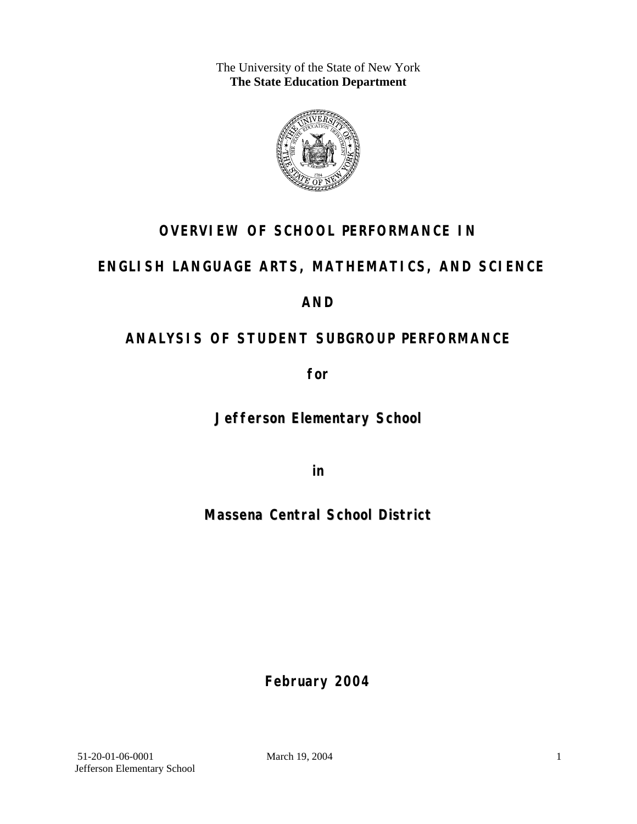The University of the State of New York **The State Education Department** 



## **OVERVIEW OF SCHOOL PERFORMANCE IN**

### **ENGLISH LANGUAGE ARTS, MATHEMATICS, AND SCIENCE**

### **AND**

## **ANALYSIS OF STUDENT SUBGROUP PERFORMANCE**

**for** 

**Jefferson Elementary School**

**in** 

**Massena Central School District**

**February 2004**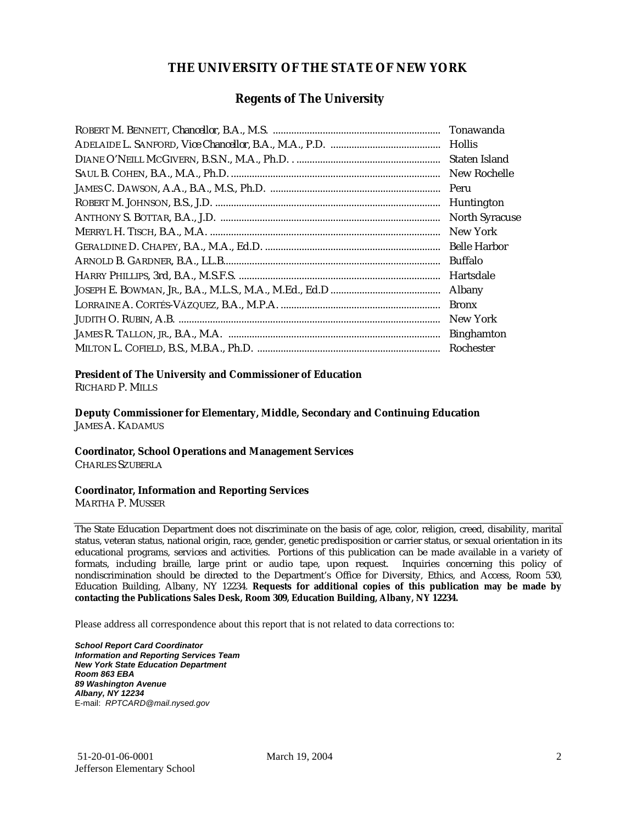#### **THE UNIVERSITY OF THE STATE OF NEW YORK**

#### **Regents of The University**

| Tonawanda             |
|-----------------------|
| <b>Hollis</b>         |
| Staten Island         |
| New Rochelle          |
| Peru                  |
| Huntington            |
| <b>North Syracuse</b> |
| New York              |
| <b>Belle Harbor</b>   |
| Buffalo               |
| Hartsdale             |
| Albany                |
| <b>Bronx</b>          |
| New York              |
| <b>Binghamton</b>     |
| Rochester             |

#### **President of The University and Commissioner of Education**

RICHARD P. MILLS

**Deputy Commissioner for Elementary, Middle, Secondary and Continuing Education**  JAMES A. KADAMUS

#### **Coordinator, School Operations and Management Services**

CHARLES SZUBERLA

#### **Coordinator, Information and Reporting Services**

MARTHA P. MUSSER

The State Education Department does not discriminate on the basis of age, color, religion, creed, disability, marital status, veteran status, national origin, race, gender, genetic predisposition or carrier status, or sexual orientation in its educational programs, services and activities. Portions of this publication can be made available in a variety of formats, including braille, large print or audio tape, upon request. Inquiries concerning this policy of nondiscrimination should be directed to the Department's Office for Diversity, Ethics, and Access, Room 530, Education Building, Albany, NY 12234. **Requests for additional copies of this publication may be made by contacting the Publications Sales Desk, Room 309, Education Building, Albany, NY 12234.** 

Please address all correspondence about this report that is not related to data corrections to:

*School Report Card Coordinator Information and Reporting Services Team New York State Education Department Room 863 EBA 89 Washington Avenue Albany, NY 12234*  E-mail: *RPTCARD@mail.nysed.gov*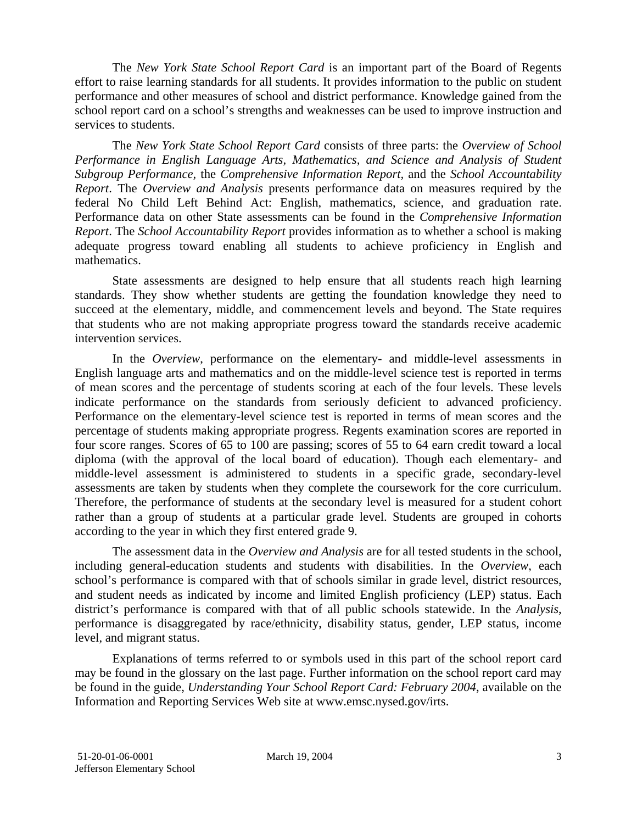The *New York State School Report Card* is an important part of the Board of Regents effort to raise learning standards for all students. It provides information to the public on student performance and other measures of school and district performance. Knowledge gained from the school report card on a school's strengths and weaknesses can be used to improve instruction and services to students.

The *New York State School Report Card* consists of three parts: the *Overview of School Performance in English Language Arts, Mathematics, and Science and Analysis of Student Subgroup Performance,* the *Comprehensive Information Report,* and the *School Accountability Report*. The *Overview and Analysis* presents performance data on measures required by the federal No Child Left Behind Act: English, mathematics, science, and graduation rate. Performance data on other State assessments can be found in the *Comprehensive Information Report*. The *School Accountability Report* provides information as to whether a school is making adequate progress toward enabling all students to achieve proficiency in English and mathematics.

State assessments are designed to help ensure that all students reach high learning standards. They show whether students are getting the foundation knowledge they need to succeed at the elementary, middle, and commencement levels and beyond. The State requires that students who are not making appropriate progress toward the standards receive academic intervention services.

In the *Overview*, performance on the elementary- and middle-level assessments in English language arts and mathematics and on the middle-level science test is reported in terms of mean scores and the percentage of students scoring at each of the four levels. These levels indicate performance on the standards from seriously deficient to advanced proficiency. Performance on the elementary-level science test is reported in terms of mean scores and the percentage of students making appropriate progress. Regents examination scores are reported in four score ranges. Scores of 65 to 100 are passing; scores of 55 to 64 earn credit toward a local diploma (with the approval of the local board of education). Though each elementary- and middle-level assessment is administered to students in a specific grade, secondary-level assessments are taken by students when they complete the coursework for the core curriculum. Therefore, the performance of students at the secondary level is measured for a student cohort rather than a group of students at a particular grade level. Students are grouped in cohorts according to the year in which they first entered grade 9.

The assessment data in the *Overview and Analysis* are for all tested students in the school, including general-education students and students with disabilities. In the *Overview*, each school's performance is compared with that of schools similar in grade level, district resources, and student needs as indicated by income and limited English proficiency (LEP) status. Each district's performance is compared with that of all public schools statewide. In the *Analysis*, performance is disaggregated by race/ethnicity, disability status, gender, LEP status, income level, and migrant status.

Explanations of terms referred to or symbols used in this part of the school report card may be found in the glossary on the last page. Further information on the school report card may be found in the guide, *Understanding Your School Report Card: February 2004*, available on the Information and Reporting Services Web site at www.emsc.nysed.gov/irts.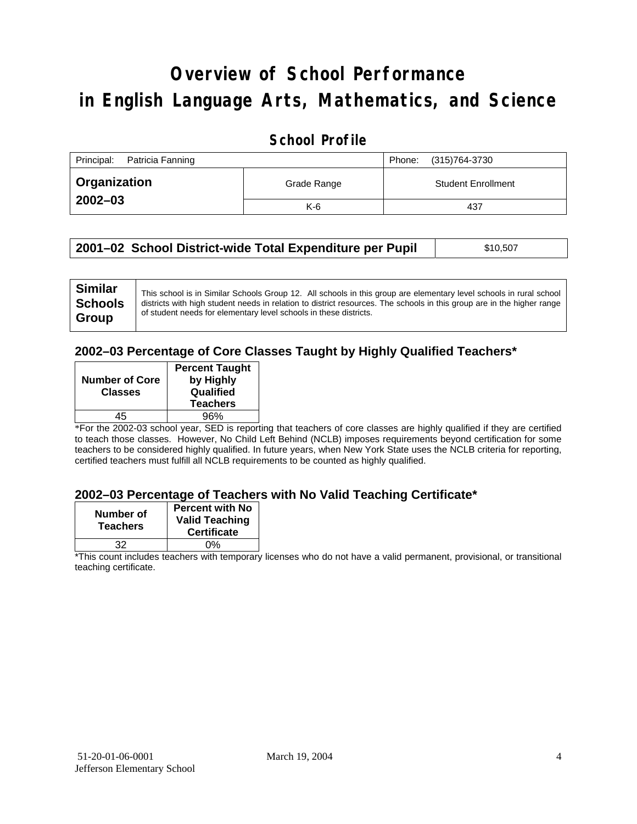# **Overview of School Performance in English Language Arts, Mathematics, and Science**

### **School Profile**

| Principal: Patricia Fanning |             | (315)764-3730<br>Phone:   |
|-----------------------------|-------------|---------------------------|
| ' Organization              | Grade Range | <b>Student Enrollment</b> |
| $2002 - 03$                 | $K-6$       | 437                       |

| 2001–02 School District-wide Total Expenditure per Pupil | \$10,507 |
|----------------------------------------------------------|----------|
|----------------------------------------------------------|----------|

#### **2002–03 Percentage of Core Classes Taught by Highly Qualified Teachers\***

|                       | <b>Percent Taught</b> |
|-----------------------|-----------------------|
| <b>Number of Core</b> | by Highly             |
| <b>Classes</b>        | Qualified             |
|                       | <b>Teachers</b>       |
| 15                    | 96%                   |
|                       |                       |

\*For the 2002-03 school year, SED is reporting that teachers of core classes are highly qualified if they are certified to teach those classes. However, No Child Left Behind (NCLB) imposes requirements beyond certification for some teachers to be considered highly qualified. In future years, when New York State uses the NCLB criteria for reporting, certified teachers must fulfill all NCLB requirements to be counted as highly qualified.

#### **2002–03 Percentage of Teachers with No Valid Teaching Certificate\***

| Number of<br><b>Teachers</b> | <b>Percent with No</b><br><b>Valid Teaching</b><br><b>Certificate</b> |
|------------------------------|-----------------------------------------------------------------------|
| 32                           | ሰ%                                                                    |

\*This count includes teachers with temporary licenses who do not have a valid permanent, provisional, or transitional teaching certificate.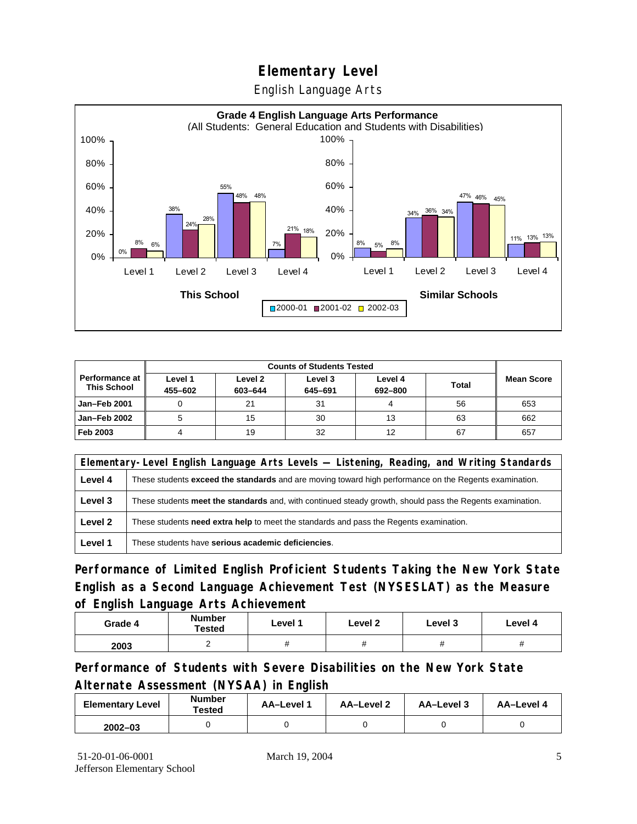English Language Arts



|                                      |                    | <b>Counts of Students Tested</b> |                    |                    |              |                   |
|--------------------------------------|--------------------|----------------------------------|--------------------|--------------------|--------------|-------------------|
| Performance at<br><b>This School</b> | Level 1<br>455-602 | Level 2<br>603-644               | Level 3<br>645-691 | Level 4<br>692-800 | <b>Total</b> | <b>Mean Score</b> |
| Jan-Feb 2001                         |                    | 21                               | 31                 |                    | 56           | 653               |
| Jan-Feb 2002                         |                    | 15                               | 30                 | 13                 | 63           | 662               |
| Feb 2003                             |                    | 19                               | 32                 | 12                 | 67           | 657               |

| Elementary-Level English Language Arts Levels — Listening, Reading, and Writing Standards |                                                                                                           |  |  |
|-------------------------------------------------------------------------------------------|-----------------------------------------------------------------------------------------------------------|--|--|
| Level 4                                                                                   | These students exceed the standards and are moving toward high performance on the Regents examination.    |  |  |
| Level 3                                                                                   | These students meet the standards and, with continued steady growth, should pass the Regents examination. |  |  |
| Level 2                                                                                   | These students <b>need extra help</b> to meet the standards and pass the Regents examination.             |  |  |
| Level 1                                                                                   | These students have serious academic deficiencies.                                                        |  |  |

**Performance of Limited English Proficient Students Taking the New York State English as a Second Language Achievement Test (NYSESLAT) as the Measure of English Language Arts Achievement**

| Grade 4 | <b>Number</b><br>Tested | Level 1 | Level 2 | Level 3  | Level 4  |
|---------|-------------------------|---------|---------|----------|----------|
| 2003    | <u>_</u>                | #       | π       | $^{\pi}$ | $^{\pi}$ |

**Performance of Students with Severe Disabilities on the New York State Alternate Assessment (NYSAA) in English** 

| <b>Elementary Level</b> | <b>Number</b><br>Tested | AA-Level 1 | AA-Level 2 | AA-Level 3 | AA-Level 4 |
|-------------------------|-------------------------|------------|------------|------------|------------|
| $2002 - 03$             |                         |            |            |            |            |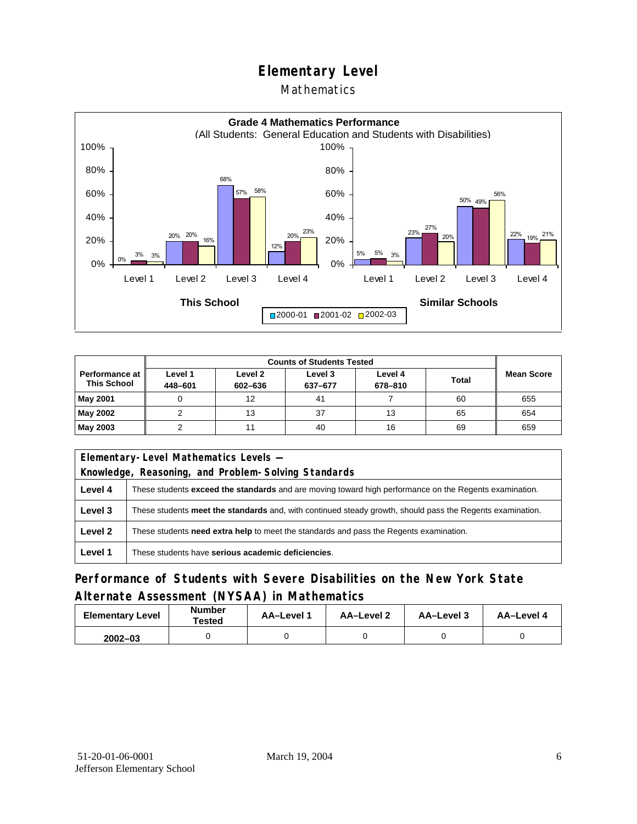### Mathematics



|                                               | <b>Counts of Students Tested</b> |                    |                    |                    |              |                   |
|-----------------------------------------------|----------------------------------|--------------------|--------------------|--------------------|--------------|-------------------|
| <b>Performance at I</b><br><b>This School</b> | Level 1<br>448-601               | Level 2<br>602-636 | Level 3<br>637-677 | Level 4<br>678-810 | <b>Total</b> | <b>Mean Score</b> |
| <b>May 2001</b>                               |                                  | 12                 | 41                 |                    | 60           | 655               |
| May 2002                                      |                                  | 13                 | 37                 | 13                 | 65           | 654               |
| May 2003                                      |                                  |                    | 40                 | 16                 | 69           | 659               |

|                                                                                                   | Elementary-Level Mathematics Levels -                                                                         |  |  |  |
|---------------------------------------------------------------------------------------------------|---------------------------------------------------------------------------------------------------------------|--|--|--|
|                                                                                                   | Knowledge, Reasoning, and Problem-Solving Standards                                                           |  |  |  |
| Level 4                                                                                           | These students <b>exceed the standards</b> and are moving toward high performance on the Regents examination. |  |  |  |
| Level 3                                                                                           | These students meet the standards and, with continued steady growth, should pass the Regents examination.     |  |  |  |
| Level 2<br>These students need extra help to meet the standards and pass the Regents examination. |                                                                                                               |  |  |  |
| Level 1                                                                                           | These students have serious academic deficiencies.                                                            |  |  |  |

### **Performance of Students with Severe Disabilities on the New York State Alternate Assessment (NYSAA) in Mathematics**

| <b>Elementary Level</b> | <b>Number</b><br>Tested | AA-Level 1 | AA-Level 2 | AA-Level 3 | AA-Level 4 |  |
|-------------------------|-------------------------|------------|------------|------------|------------|--|
| $2002 - 03$             |                         |            |            |            |            |  |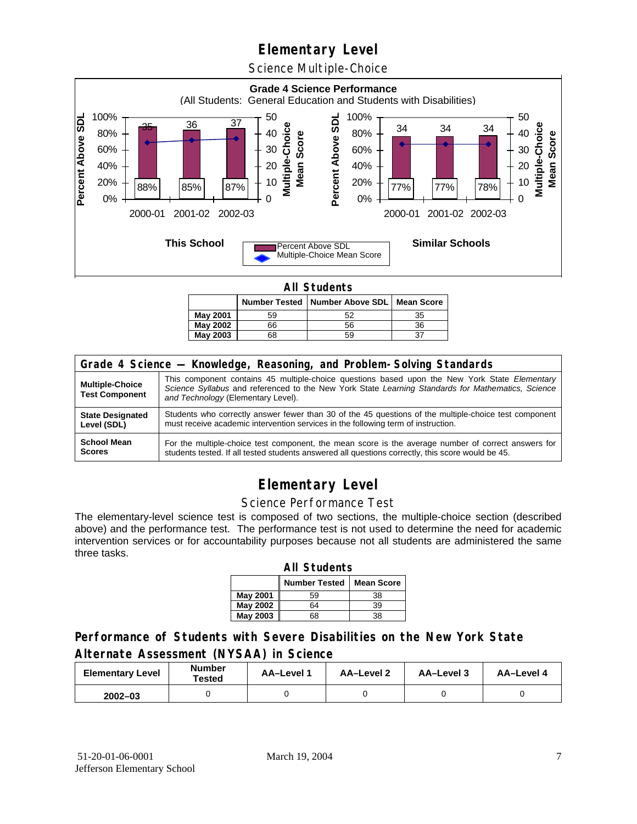Science Multiple-Choice



**All Students** 

|          |    | Number Tested   Number Above SDL   Mean Score |    |  |  |  |  |  |  |
|----------|----|-----------------------------------------------|----|--|--|--|--|--|--|
| May 2001 | 59 |                                               | 35 |  |  |  |  |  |  |
| May 2002 | 66 | 56                                            | 36 |  |  |  |  |  |  |
| May 2003 | 68 | 59                                            |    |  |  |  |  |  |  |

| Grade 4 Science - Knowledge, Reasoning, and Problem-Solving Standards |                                                                                                                                                                                                                                          |  |  |  |  |  |
|-----------------------------------------------------------------------|------------------------------------------------------------------------------------------------------------------------------------------------------------------------------------------------------------------------------------------|--|--|--|--|--|
| <b>Multiple-Choice</b><br><b>Test Component</b>                       | This component contains 45 multiple-choice questions based upon the New York State Elementary<br>Science Syllabus and referenced to the New York State Learning Standards for Mathematics, Science<br>and Technology (Elementary Level). |  |  |  |  |  |
| <b>State Designated</b>                                               | Students who correctly answer fewer than 30 of the 45 questions of the multiple-choice test component                                                                                                                                    |  |  |  |  |  |
| Level (SDL)                                                           | must receive academic intervention services in the following term of instruction.                                                                                                                                                        |  |  |  |  |  |
| <b>School Mean</b>                                                    | For the multiple-choice test component, the mean score is the average number of correct answers for                                                                                                                                      |  |  |  |  |  |
| <b>Scores</b>                                                         | students tested. If all tested students answered all questions correctly, this score would be 45.                                                                                                                                        |  |  |  |  |  |

## **Elementary Level**

#### Science Performance Test

The elementary-level science test is composed of two sections, the multiple-choice section (described above) and the performance test. The performance test is not used to determine the need for academic intervention services or for accountability purposes because not all students are administered the same three tasks.

| <b>All Students</b>                       |    |    |  |  |  |  |  |  |  |
|-------------------------------------------|----|----|--|--|--|--|--|--|--|
| <b>Number Tested</b><br><b>Mean Score</b> |    |    |  |  |  |  |  |  |  |
| May 2001                                  | 59 | 38 |  |  |  |  |  |  |  |
| May 2002                                  | 64 | 39 |  |  |  |  |  |  |  |
| <b>May 2003</b>                           | 68 |    |  |  |  |  |  |  |  |

### **Performance of Students with Severe Disabilities on the New York State Alternate Assessment (NYSAA) in Science**

| <b>Elementary Level</b> | <b>Number</b><br>Tested | AA-Level 1 | <b>AA-Level 2</b> | AA-Level 3 | AA-Level 4 |  |
|-------------------------|-------------------------|------------|-------------------|------------|------------|--|
| $2002 - 03$             |                         |            |                   |            |            |  |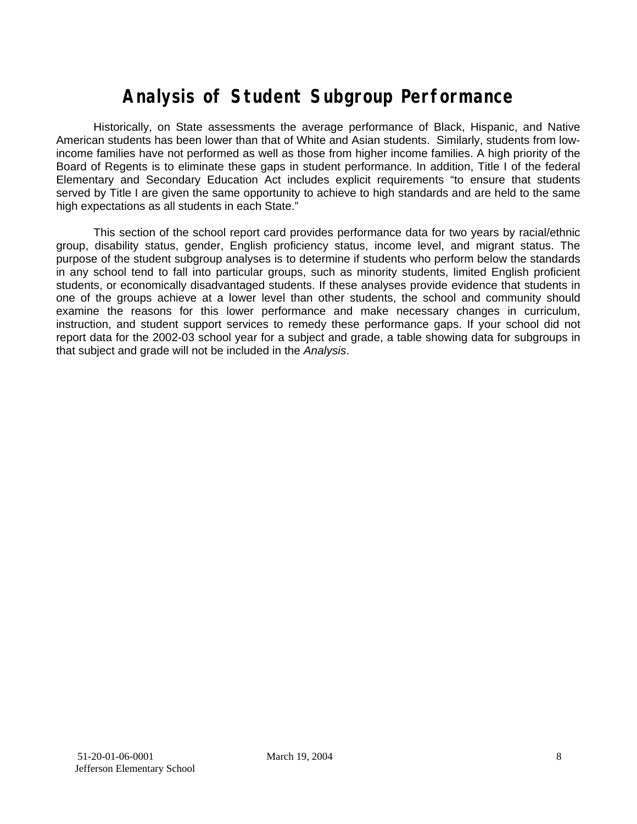# **Analysis of Student Subgroup Performance**

Historically, on State assessments the average performance of Black, Hispanic, and Native American students has been lower than that of White and Asian students. Similarly, students from lowincome families have not performed as well as those from higher income families. A high priority of the Board of Regents is to eliminate these gaps in student performance. In addition, Title I of the federal Elementary and Secondary Education Act includes explicit requirements "to ensure that students served by Title I are given the same opportunity to achieve to high standards and are held to the same high expectations as all students in each State."

This section of the school report card provides performance data for two years by racial/ethnic group, disability status, gender, English proficiency status, income level, and migrant status. The purpose of the student subgroup analyses is to determine if students who perform below the standards in any school tend to fall into particular groups, such as minority students, limited English proficient students, or economically disadvantaged students. If these analyses provide evidence that students in one of the groups achieve at a lower level than other students, the school and community should examine the reasons for this lower performance and make necessary changes in curriculum, instruction, and student support services to remedy these performance gaps. If your school did not report data for the 2002-03 school year for a subject and grade, a table showing data for subgroups in that subject and grade will not be included in the *Analysis*.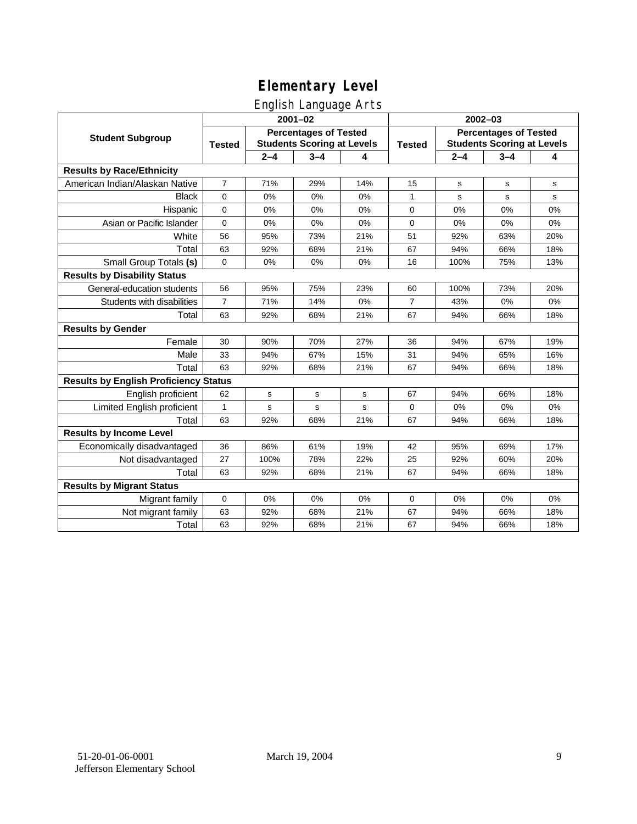### English Language Arts

|                                              | ◡<br>$2001 - 02$ |                                                                   |             |     |                | $2002 - 03$                                                       |             |             |  |
|----------------------------------------------|------------------|-------------------------------------------------------------------|-------------|-----|----------------|-------------------------------------------------------------------|-------------|-------------|--|
| <b>Student Subgroup</b>                      | <b>Tested</b>    | <b>Percentages of Tested</b><br><b>Students Scoring at Levels</b> |             |     | <b>Tested</b>  | <b>Percentages of Tested</b><br><b>Students Scoring at Levels</b> |             |             |  |
|                                              |                  | $2 - 4$                                                           | $3 - 4$     | 4   |                | $2 - 4$                                                           | $3 - 4$     | 4           |  |
| <b>Results by Race/Ethnicity</b>             |                  |                                                                   |             |     |                |                                                                   |             |             |  |
| American Indian/Alaskan Native               | $\overline{7}$   | 71%                                                               | 29%         | 14% | 15             | s                                                                 | $\mathbf s$ | $\mathbf s$ |  |
| <b>Black</b>                                 | 0                | 0%                                                                | 0%          | 0%  | 1              | s                                                                 | s           | s           |  |
| Hispanic                                     | $\Omega$         | 0%                                                                | 0%          | 0%  | $\mathbf 0$    | 0%                                                                | 0%          | 0%          |  |
| Asian or Pacific Islander                    | 0                | 0%                                                                | 0%          | 0%  | 0              | 0%                                                                | 0%          | 0%          |  |
| White                                        | 56               | 95%                                                               | 73%         | 21% | 51             | 92%                                                               | 63%         | 20%         |  |
| Total                                        | 63               | 92%                                                               | 68%         | 21% | 67             | 94%                                                               | 66%         | 18%         |  |
| Small Group Totals (s)                       | 0                | 0%                                                                | 0%          | 0%  | 16             | 100%                                                              | 75%         | 13%         |  |
| <b>Results by Disability Status</b>          |                  |                                                                   |             |     |                |                                                                   |             |             |  |
| General-education students                   | 56               | 95%                                                               | 75%         | 23% | 60             | 100%                                                              | 73%         | 20%         |  |
| Students with disabilities                   | $\overline{7}$   | 71%                                                               | 14%         | 0%  | $\overline{7}$ | 43%                                                               | 0%          | 0%          |  |
| Total                                        | 63               | 92%                                                               | 68%         | 21% | 67             | 94%                                                               | 66%         | 18%         |  |
| <b>Results by Gender</b>                     |                  |                                                                   |             |     |                |                                                                   |             |             |  |
| Female                                       | 30               | 90%                                                               | 70%         | 27% | 36             | 94%                                                               | 67%         | 19%         |  |
| Male                                         | 33               | 94%                                                               | 67%         | 15% | 31             | 94%                                                               | 65%         | 16%         |  |
| Total                                        | 63               | 92%                                                               | 68%         | 21% | 67             | 94%                                                               | 66%         | 18%         |  |
| <b>Results by English Proficiency Status</b> |                  |                                                                   |             |     |                |                                                                   |             |             |  |
| English proficient                           | 62               | $\mathbf s$                                                       | $\mathbf s$ | s   | 67             | 94%                                                               | 66%         | 18%         |  |
| Limited English proficient                   | $\mathbf{1}$     | s                                                                 | s           | s   | $\mathbf 0$    | 0%                                                                | 0%          | 0%          |  |
| Total                                        | 63               | 92%                                                               | 68%         | 21% | 67             | 94%                                                               | 66%         | 18%         |  |
| <b>Results by Income Level</b>               |                  |                                                                   |             |     |                |                                                                   |             |             |  |
| Economically disadvantaged                   | 36               | 86%                                                               | 61%         | 19% | 42             | 95%                                                               | 69%         | 17%         |  |
| Not disadvantaged                            | 27               | 100%                                                              | 78%         | 22% | 25             | 92%                                                               | 60%         | 20%         |  |
| Total                                        | 63               | 92%                                                               | 68%         | 21% | 67             | 94%                                                               | 66%         | 18%         |  |
| <b>Results by Migrant Status</b>             |                  |                                                                   |             |     |                |                                                                   |             |             |  |
| Migrant family                               | 0                | 0%                                                                | 0%          | 0%  | $\mathbf 0$    | 0%                                                                | 0%          | 0%          |  |
| Not migrant family                           | 63               | 92%                                                               | 68%         | 21% | 67             | 94%                                                               | 66%         | 18%         |  |
| Total                                        | 63               | 92%                                                               | 68%         | 21% | 67             | 94%                                                               | 66%         | 18%         |  |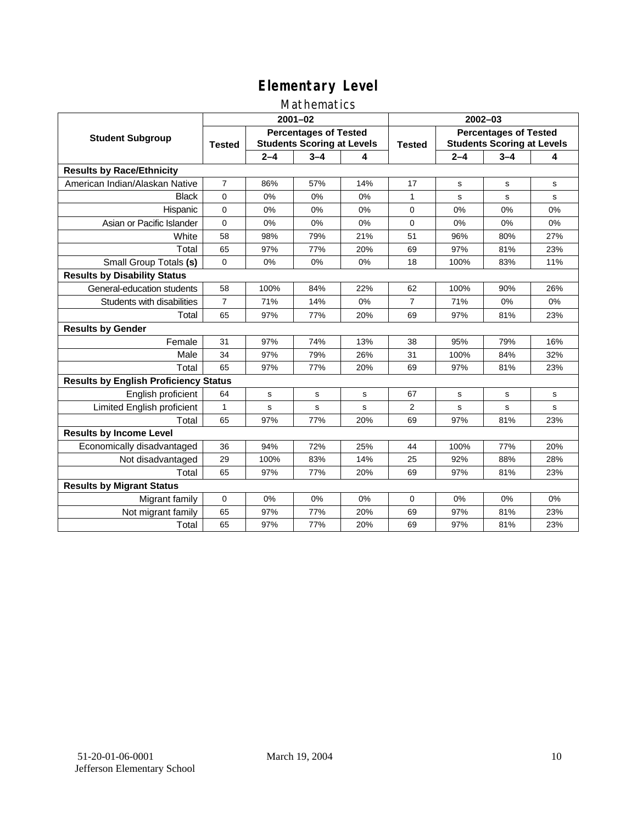### Mathematics

|                                              | $2001 - 02$                                                                        |             |         |               | $2002 - 03$                                                       |         |             |     |
|----------------------------------------------|------------------------------------------------------------------------------------|-------------|---------|---------------|-------------------------------------------------------------------|---------|-------------|-----|
| <b>Student Subgroup</b>                      | <b>Percentages of Tested</b><br><b>Students Scoring at Levels</b><br><b>Tested</b> |             |         | <b>Tested</b> | <b>Percentages of Tested</b><br><b>Students Scoring at Levels</b> |         |             |     |
|                                              |                                                                                    | $2 - 4$     | $3 - 4$ | 4             |                                                                   | $2 - 4$ | $3 - 4$     | 4   |
| <b>Results by Race/Ethnicity</b>             |                                                                                    |             |         |               |                                                                   |         |             |     |
| American Indian/Alaskan Native               | $\overline{7}$                                                                     | 86%         | 57%     | 14%           | 17                                                                | s       | s           | s   |
| <b>Black</b>                                 | $\Omega$                                                                           | 0%          | 0%      | 0%            | 1                                                                 | S       | s           | s   |
| Hispanic                                     | $\Omega$                                                                           | 0%          | 0%      | 0%            | $\Omega$                                                          | 0%      | 0%          | 0%  |
| Asian or Pacific Islander                    | $\mathbf 0$                                                                        | 0%          | 0%      | 0%            | $\mathbf 0$                                                       | 0%      | 0%          | 0%  |
| White                                        | 58                                                                                 | 98%         | 79%     | 21%           | 51                                                                | 96%     | 80%         | 27% |
| Total                                        | 65                                                                                 | 97%         | 77%     | 20%           | 69                                                                | 97%     | 81%         | 23% |
| Small Group Totals (s)                       | $\mathbf 0$                                                                        | 0%          | 0%      | 0%            | 18                                                                | 100%    | 83%         | 11% |
| <b>Results by Disability Status</b>          |                                                                                    |             |         |               |                                                                   |         |             |     |
| General-education students                   | 58                                                                                 | 100%        | 84%     | 22%           | 62                                                                | 100%    | 90%         | 26% |
| Students with disabilities                   | $\overline{7}$                                                                     | 71%         | 14%     | 0%            | $\overline{7}$                                                    | 71%     | 0%          | 0%  |
| Total                                        | 65                                                                                 | 97%         | 77%     | 20%           | 69                                                                | 97%     | 81%         | 23% |
| <b>Results by Gender</b>                     |                                                                                    |             |         |               |                                                                   |         |             |     |
| Female                                       | 31                                                                                 | 97%         | 74%     | 13%           | 38                                                                | 95%     | 79%         | 16% |
| Male                                         | 34                                                                                 | 97%         | 79%     | 26%           | 31                                                                | 100%    | 84%         | 32% |
| Total                                        | 65                                                                                 | 97%         | 77%     | 20%           | 69                                                                | 97%     | 81%         | 23% |
| <b>Results by English Proficiency Status</b> |                                                                                    |             |         |               |                                                                   |         |             |     |
| English proficient                           | 64                                                                                 | $\mathbf s$ | s       | s             | 67                                                                | s       | s           | s   |
| Limited English proficient                   | 1                                                                                  | s           | s       | s             | $\overline{2}$                                                    | s       | $\mathbf s$ | s   |
| Total                                        | 65                                                                                 | 97%         | 77%     | 20%           | 69                                                                | 97%     | 81%         | 23% |
| <b>Results by Income Level</b>               |                                                                                    |             |         |               |                                                                   |         |             |     |
| Economically disadvantaged                   | 36                                                                                 | 94%         | 72%     | 25%           | 44                                                                | 100%    | 77%         | 20% |
| Not disadvantaged                            | 29                                                                                 | 100%        | 83%     | 14%           | 25                                                                | 92%     | 88%         | 28% |
| Total                                        | 65                                                                                 | 97%         | 77%     | 20%           | 69                                                                | 97%     | 81%         | 23% |
| <b>Results by Migrant Status</b>             |                                                                                    |             |         |               |                                                                   |         |             |     |
| Migrant family                               | 0                                                                                  | 0%          | 0%      | 0%            | 0                                                                 | 0%      | 0%          | 0%  |
| Not migrant family                           | 65                                                                                 | 97%         | 77%     | 20%           | 69                                                                | 97%     | 81%         | 23% |
| Total                                        | 65                                                                                 | 97%         | 77%     | 20%           | 69                                                                | 97%     | 81%         | 23% |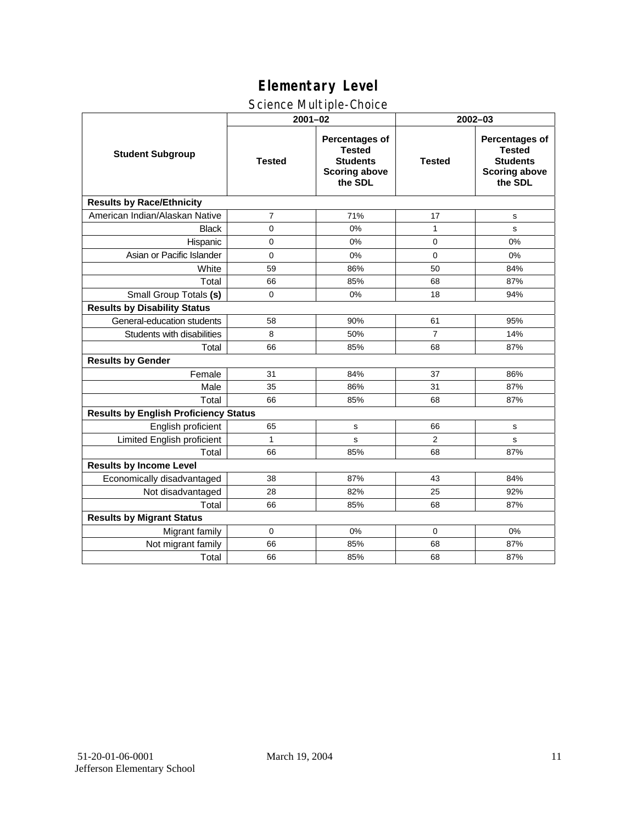### Science Multiple-Choice

|                                              | $2001 - 02$    |                                                                                       | 2002-03        |                                                                                              |  |  |
|----------------------------------------------|----------------|---------------------------------------------------------------------------------------|----------------|----------------------------------------------------------------------------------------------|--|--|
| <b>Student Subgroup</b>                      | <b>Tested</b>  | Percentages of<br><b>Tested</b><br><b>Students</b><br><b>Scoring above</b><br>the SDL | <b>Tested</b>  | <b>Percentages of</b><br><b>Tested</b><br><b>Students</b><br><b>Scoring above</b><br>the SDL |  |  |
| <b>Results by Race/Ethnicity</b>             |                |                                                                                       |                |                                                                                              |  |  |
| American Indian/Alaskan Native               | $\overline{7}$ | 71%                                                                                   | 17             | s                                                                                            |  |  |
| <b>Black</b>                                 | $\Omega$       | 0%                                                                                    | $\mathbf{1}$   | s                                                                                            |  |  |
| Hispanic                                     | $\mathbf 0$    | 0%                                                                                    | 0              | 0%                                                                                           |  |  |
| Asian or Pacific Islander                    | $\Omega$       | 0%                                                                                    | $\Omega$       | 0%                                                                                           |  |  |
| White                                        | 59             | 86%                                                                                   | 50             | 84%                                                                                          |  |  |
| Total                                        | 66             | 85%                                                                                   | 68             | 87%                                                                                          |  |  |
| Small Group Totals (s)                       | $\mathbf 0$    | 0%                                                                                    | 18             | 94%                                                                                          |  |  |
| <b>Results by Disability Status</b>          |                |                                                                                       |                |                                                                                              |  |  |
| General-education students                   | 58             | 90%                                                                                   | 61             | 95%                                                                                          |  |  |
| Students with disabilities                   | 8              | 50%                                                                                   | $\overline{7}$ | 14%                                                                                          |  |  |
| Total                                        | 66             | 85%                                                                                   | 68             | 87%                                                                                          |  |  |
| <b>Results by Gender</b>                     |                |                                                                                       |                |                                                                                              |  |  |
| Female                                       | 31             | 84%                                                                                   | 37             | 86%                                                                                          |  |  |
| Male                                         | 35             | 86%                                                                                   | 31             | 87%                                                                                          |  |  |
| Total                                        | 66             | 85%                                                                                   | 68             | 87%                                                                                          |  |  |
| <b>Results by English Proficiency Status</b> |                |                                                                                       |                |                                                                                              |  |  |
| English proficient                           | 65             | s                                                                                     | 66             | s                                                                                            |  |  |
| Limited English proficient                   | $\mathbf{1}$   | s                                                                                     | $\overline{2}$ | s                                                                                            |  |  |
| Total                                        | 66             | 85%                                                                                   | 68             | 87%                                                                                          |  |  |
| <b>Results by Income Level</b>               |                |                                                                                       |                |                                                                                              |  |  |
| Economically disadvantaged                   | 38             | 87%                                                                                   | 43             | 84%                                                                                          |  |  |
| Not disadvantaged                            | 28             | 82%                                                                                   | 25             | 92%                                                                                          |  |  |
| Total                                        | 66             | 85%                                                                                   | 68             | 87%                                                                                          |  |  |
| <b>Results by Migrant Status</b>             |                |                                                                                       |                |                                                                                              |  |  |
| Migrant family                               | 0              | 0%                                                                                    | 0              | 0%                                                                                           |  |  |
| Not migrant family                           | 66             | 85%                                                                                   | 68             | 87%                                                                                          |  |  |
| Total                                        | 66             | 85%                                                                                   | 68             | 87%                                                                                          |  |  |